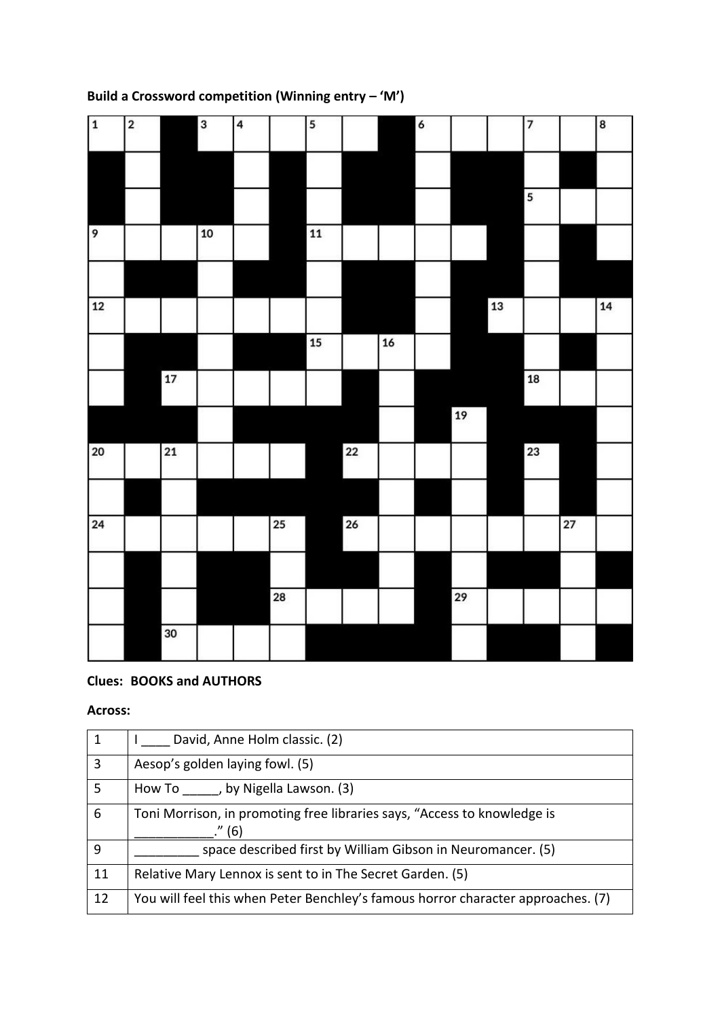| $\mathbf 1$ | $\mathbf 2$ |      | 3    | 4 |            | 5               |            |        | $\pmb{6}$ |      |            | $\overline{\phantom{a}}$ |    | 8  |
|-------------|-------------|------|------|---|------------|-----------------|------------|--------|-----------|------|------------|--------------------------|----|----|
|             |             |      |      |   |            |                 |            |        |           |      |            |                          |    |    |
|             |             |      |      |   |            |                 |            |        |           |      |            | 5                        |    |    |
| 9           |             |      | $10$ |   |            | $\overline{11}$ |            |        |           |      |            |                          |    |    |
|             |             |      |      |   |            |                 |            |        |           |      |            |                          |    |    |
| 12          |             |      |      |   |            |                 |            |        |           |      | ${\bf 13}$ |                          |    | 14 |
|             |             |      |      |   |            | ${\bf 15}$      |            | $16\,$ |           |      |            |                          |    |    |
|             |             | $17$ |      |   |            |                 |            |        |           |      |            | ${\bf 18}$               |    |    |
|             |             |      |      |   |            |                 |            |        |           | $19$ |            |                          |    |    |
| 20          |             | 21   |      |   |            |                 | ${\bf 22}$ |        |           |      |            | 23                       |    |    |
|             |             |      |      |   |            |                 |            |        |           |      |            |                          |    |    |
| 24          |             |      |      |   | 25         |                 | 26         |        |           |      |            |                          | 27 |    |
|             |             |      |      |   |            |                 |            |        |           |      |            |                          |    |    |
|             |             |      |      |   | ${\bf 28}$ |                 |            |        |           | 29   |            |                          |    |    |
|             |             | 30   |      |   |            |                 |            |        |           |      |            |                          |    |    |

## **Build a Crossword competition (Winning entry – 'M')**

## **Clues: BOOKS and AUTHORS**

## **Across:**

| -1           | David, Anne Holm classic. (2)                                                    |
|--------------|----------------------------------------------------------------------------------|
| 3            | Aesop's golden laying fowl. (5)                                                  |
| 5            | How To , by Nigella Lawson. (3)                                                  |
| 6            | Toni Morrison, in promoting free libraries says, "Access to knowledge is         |
|              | ." (6)                                                                           |
| $\mathbf{q}$ | space described first by William Gibson in Neuromancer. (5)                      |
| 11           | Relative Mary Lennox is sent to in The Secret Garden. (5)                        |
| 12           | You will feel this when Peter Benchley's famous horror character approaches. (7) |